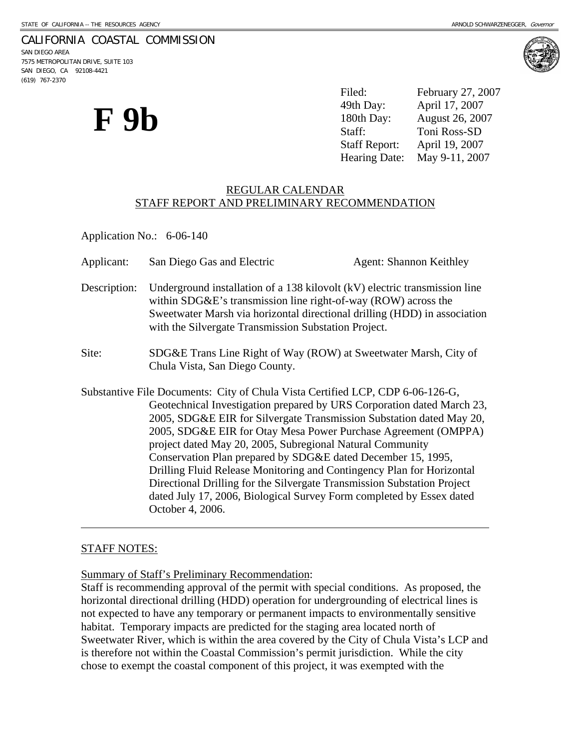# CALIFORNIA COASTAL COMMISSION

SAN DIEGO AREA 7575 METROPOLITAN DRIVE, SUITE 103 SAN DIEGO, CA 92108-4421 (619) 767-2370



Filed: February 27, 2007 49th Day: April 17, 2007 180th Day: August 26, 2007 Staff: Toni Ross-SD Staff Report: April 19, 2007 Hearing Date: May 9-11, 2007

# REGULAR CALENDAR STAFF REPORT AND PRELIMINARY RECOMMENDATION

Application No.: 6-06-140

- Applicant: San Diego Gas and Electric Agent: Shannon Keithley Description: Underground installation of a 138 kilovolt (kV) electric transmission line within SDG&E's transmission line right-of-way (ROW) across the Sweetwater Marsh via horizontal directional drilling (HDD) in association
- Site: SDG&E Trans Line Right of Way (ROW) at Sweetwater Marsh, City of Chula Vista, San Diego County.

with the Silvergate Transmission Substation Project.

Substantive File Documents: City of Chula Vista Certified LCP, CDP 6-06-126-G, Geotechnical Investigation prepared by URS Corporation dated March 23, 2005, SDG&E EIR for Silvergate Transmission Substation dated May 20, 2005, SDG&E EIR for Otay Mesa Power Purchase Agreement (OMPPA) project dated May 20, 2005, Subregional Natural Community Conservation Plan prepared by SDG&E dated December 15, 1995, Drilling Fluid Release Monitoring and Contingency Plan for Horizontal Directional Drilling for the Silvergate Transmission Substation Project dated July 17, 2006, Biological Survey Form completed by Essex dated October 4, 2006.

# STAFF NOTES:

 $\overline{a}$ 

Summary of Staff's Preliminary Recommendation:

Staff is recommending approval of the permit with special conditions. As proposed, the horizontal directional drilling (HDD) operation for undergrounding of electrical lines is not expected to have any temporary or permanent impacts to environmentally sensitive habitat. Temporary impacts are predicted for the staging area located north of Sweetwater River, which is within the area covered by the City of Chula Vista's LCP and is therefore not within the Coastal Commission's permit jurisdiction. While the city chose to exempt the coastal component of this project, it was exempted with the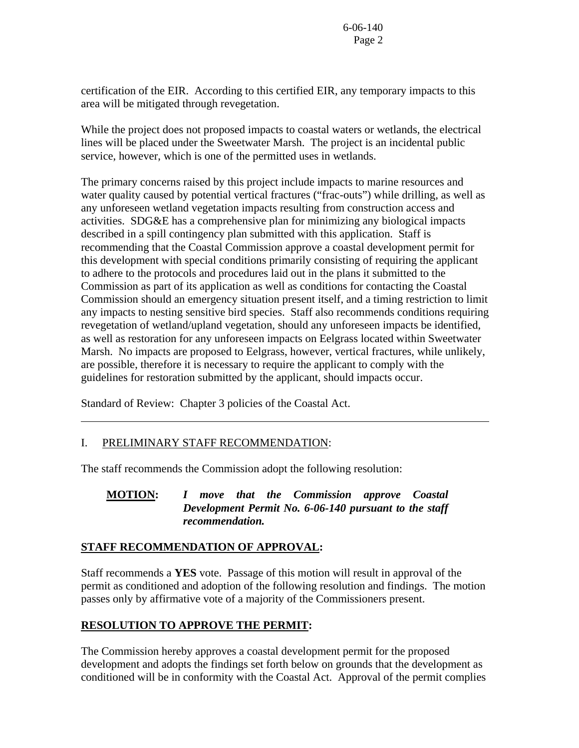certification of the EIR. According to this certified EIR, any temporary impacts to this area will be mitigated through revegetation.

While the project does not proposed impacts to coastal waters or wetlands, the electrical lines will be placed under the Sweetwater Marsh. The project is an incidental public service, however, which is one of the permitted uses in wetlands.

The primary concerns raised by this project include impacts to marine resources and water quality caused by potential vertical fractures ("frac-outs") while drilling, as well as any unforeseen wetland vegetation impacts resulting from construction access and activities. SDG&E has a comprehensive plan for minimizing any biological impacts described in a spill contingency plan submitted with this application. Staff is recommending that the Coastal Commission approve a coastal development permit for this development with special conditions primarily consisting of requiring the applicant to adhere to the protocols and procedures laid out in the plans it submitted to the Commission as part of its application as well as conditions for contacting the Coastal Commission should an emergency situation present itself, and a timing restriction to limit any impacts to nesting sensitive bird species. Staff also recommends conditions requiring revegetation of wetland/upland vegetation, should any unforeseen impacts be identified, as well as restoration for any unforeseen impacts on Eelgrass located within Sweetwater Marsh. No impacts are proposed to Eelgrass, however, vertical fractures, while unlikely, are possible, therefore it is necessary to require the applicant to comply with the guidelines for restoration submitted by the applicant, should impacts occur.

Standard of Review: Chapter 3 policies of the Coastal Act.

# I. PRELIMINARY STAFF RECOMMENDATION:

 $\overline{a}$ 

The staff recommends the Commission adopt the following resolution:

# **MOTION:** *I move that the Commission approve Coastal Development Permit No. 6-06-140 pursuant to the staff recommendation.*

# **STAFF RECOMMENDATION OF APPROVAL:**

Staff recommends a **YES** vote. Passage of this motion will result in approval of the permit as conditioned and adoption of the following resolution and findings. The motion passes only by affirmative vote of a majority of the Commissioners present.

# **RESOLUTION TO APPROVE THE PERMIT:**

The Commission hereby approves a coastal development permit for the proposed development and adopts the findings set forth below on grounds that the development as conditioned will be in conformity with the Coastal Act. Approval of the permit complies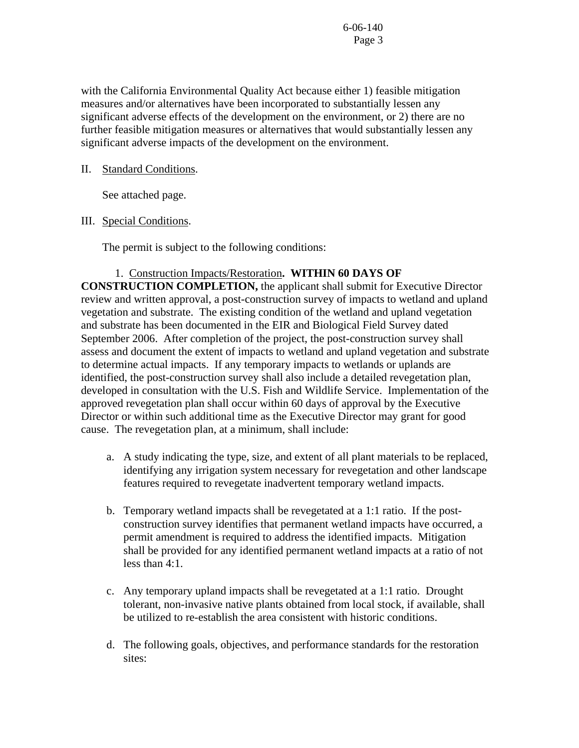with the California Environmental Quality Act because either 1) feasible mitigation measures and/or alternatives have been incorporated to substantially lessen any significant adverse effects of the development on the environment, or 2) there are no further feasible mitigation measures or alternatives that would substantially lessen any significant adverse impacts of the development on the environment.

# II. Standard Conditions.

See attached page.

# III. Special Conditions.

The permit is subject to the following conditions:

# 1. Construction Impacts/Restoration**. WITHIN 60 DAYS OF**

**CONSTRUCTION COMPLETION,** the applicant shall submit for Executive Director review and written approval, a post-construction survey of impacts to wetland and upland vegetation and substrate. The existing condition of the wetland and upland vegetation and substrate has been documented in the EIR and Biological Field Survey dated September 2006. After completion of the project, the post-construction survey shall assess and document the extent of impacts to wetland and upland vegetation and substrate to determine actual impacts. If any temporary impacts to wetlands or uplands are identified, the post-construction survey shall also include a detailed revegetation plan, developed in consultation with the U.S. Fish and Wildlife Service. Implementation of the approved revegetation plan shall occur within 60 days of approval by the Executive Director or within such additional time as the Executive Director may grant for good cause. The revegetation plan, at a minimum, shall include:

- a. A study indicating the type, size, and extent of all plant materials to be replaced, identifying any irrigation system necessary for revegetation and other landscape features required to revegetate inadvertent temporary wetland impacts.
- b. Temporary wetland impacts shall be revegetated at a 1:1 ratio. If the postconstruction survey identifies that permanent wetland impacts have occurred, a permit amendment is required to address the identified impacts. Mitigation shall be provided for any identified permanent wetland impacts at a ratio of not less than 4:1.
- c. Any temporary upland impacts shall be revegetated at a 1:1 ratio. Drought tolerant, non-invasive native plants obtained from local stock, if available, shall be utilized to re-establish the area consistent with historic conditions.
- d. The following goals, objectives, and performance standards for the restoration sites: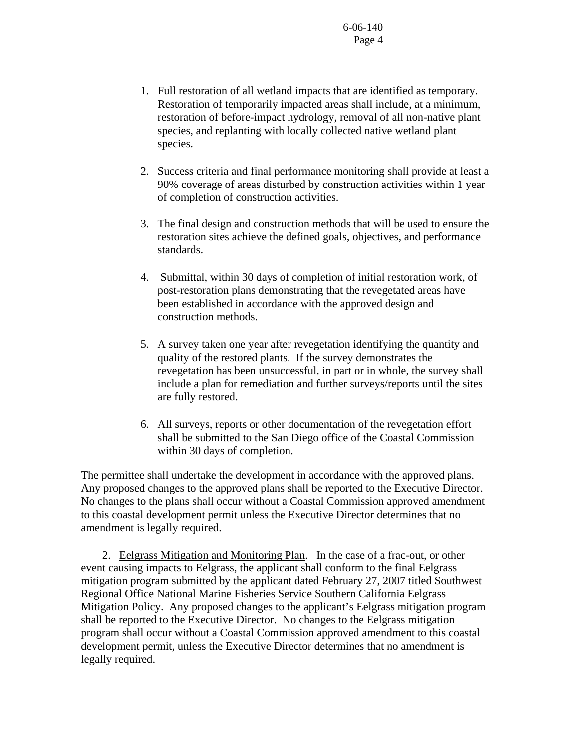- 1. Full restoration of all wetland impacts that are identified as temporary. Restoration of temporarily impacted areas shall include, at a minimum, restoration of before-impact hydrology, removal of all non-native plant species, and replanting with locally collected native wetland plant species.
- 2. Success criteria and final performance monitoring shall provide at least a 90% coverage of areas disturbed by construction activities within 1 year of completion of construction activities.
- 3. The final design and construction methods that will be used to ensure the restoration sites achieve the defined goals, objectives, and performance standards.
- 4. Submittal, within 30 days of completion of initial restoration work, of post-restoration plans demonstrating that the revegetated areas have been established in accordance with the approved design and construction methods.
- 5. A survey taken one year after revegetation identifying the quantity and quality of the restored plants. If the survey demonstrates the revegetation has been unsuccessful, in part or in whole, the survey shall include a plan for remediation and further surveys/reports until the sites are fully restored.
- 6. All surveys, reports or other documentation of the revegetation effort shall be submitted to the San Diego office of the Coastal Commission within 30 days of completion.

The permittee shall undertake the development in accordance with the approved plans. Any proposed changes to the approved plans shall be reported to the Executive Director. No changes to the plans shall occur without a Coastal Commission approved amendment to this coastal development permit unless the Executive Director determines that no amendment is legally required.

 2. Eelgrass Mitigation and Monitoring Plan. In the case of a frac-out, or other event causing impacts to Eelgrass, the applicant shall conform to the final Eelgrass mitigation program submitted by the applicant dated February 27, 2007 titled Southwest Regional Office National Marine Fisheries Service Southern California Eelgrass Mitigation Policy. Any proposed changes to the applicant's Eelgrass mitigation program shall be reported to the Executive Director. No changes to the Eelgrass mitigation program shall occur without a Coastal Commission approved amendment to this coastal development permit, unless the Executive Director determines that no amendment is legally required.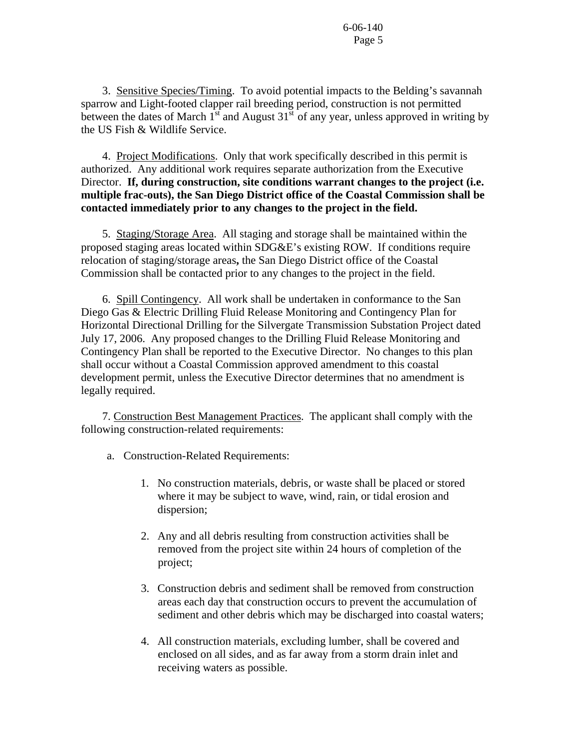3. Sensitive Species/Timing. To avoid potential impacts to the Belding's savannah sparrow and Light-footed clapper rail breeding period, construction is not permitted between the dates of March  $1<sup>st</sup>$  and August  $31<sup>st</sup>$  of any year, unless approved in writing by the US Fish & Wildlife Service.

 4. Project Modifications. Only that work specifically described in this permit is authorized. Any additional work requires separate authorization from the Executive Director. **If, during construction, site conditions warrant changes to the project (i.e. multiple frac-outs), the San Diego District office of the Coastal Commission shall be contacted immediately prior to any changes to the project in the field.** 

 5. Staging/Storage Area. All staging and storage shall be maintained within the proposed staging areas located within SDG&E's existing ROW. If conditions require relocation of staging/storage areas**,** the San Diego District office of the Coastal Commission shall be contacted prior to any changes to the project in the field.

 6. Spill Contingency. All work shall be undertaken in conformance to the San Diego Gas & Electric Drilling Fluid Release Monitoring and Contingency Plan for Horizontal Directional Drilling for the Silvergate Transmission Substation Project dated July 17, 2006. Any proposed changes to the Drilling Fluid Release Monitoring and Contingency Plan shall be reported to the Executive Director. No changes to this plan shall occur without a Coastal Commission approved amendment to this coastal development permit, unless the Executive Director determines that no amendment is legally required.

 7. Construction Best Management Practices. The applicant shall comply with the following construction-related requirements:

- a. Construction-Related Requirements:
	- 1. No construction materials, debris, or waste shall be placed or stored where it may be subject to wave, wind, rain, or tidal erosion and dispersion;
	- 2. Any and all debris resulting from construction activities shall be removed from the project site within 24 hours of completion of the project;
	- 3. Construction debris and sediment shall be removed from construction areas each day that construction occurs to prevent the accumulation of sediment and other debris which may be discharged into coastal waters;
	- 4. All construction materials, excluding lumber, shall be covered and enclosed on all sides, and as far away from a storm drain inlet and receiving waters as possible.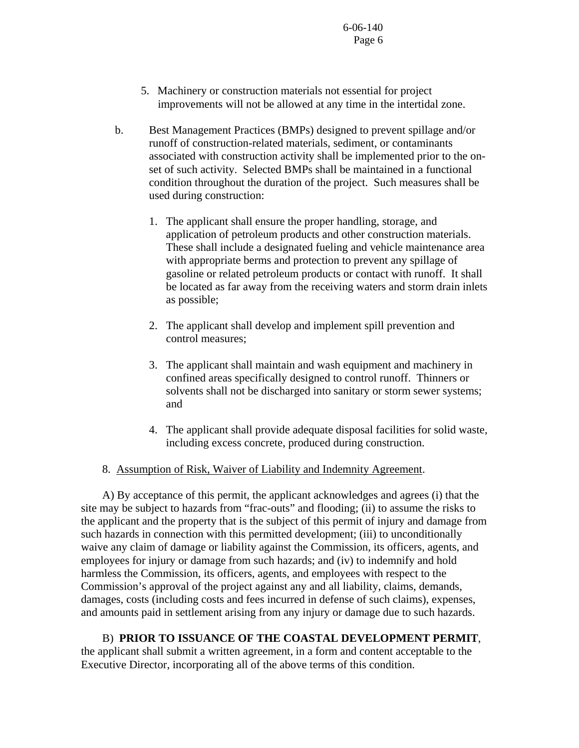- 5. Machinery or construction materials not essential for project improvements will not be allowed at any time in the intertidal zone.
- b. Best Management Practices (BMPs) designed to prevent spillage and/or runoff of construction-related materials, sediment, or contaminants associated with construction activity shall be implemented prior to the onset of such activity. Selected BMPs shall be maintained in a functional condition throughout the duration of the project. Such measures shall be used during construction:
	- 1. The applicant shall ensure the proper handling, storage, and application of petroleum products and other construction materials. These shall include a designated fueling and vehicle maintenance area with appropriate berms and protection to prevent any spillage of gasoline or related petroleum products or contact with runoff. It shall be located as far away from the receiving waters and storm drain inlets as possible;
	- 2. The applicant shall develop and implement spill prevention and control measures;
	- 3. The applicant shall maintain and wash equipment and machinery in confined areas specifically designed to control runoff. Thinners or solvents shall not be discharged into sanitary or storm sewer systems; and
	- 4. The applicant shall provide adequate disposal facilities for solid waste, including excess concrete, produced during construction.
- 8. Assumption of Risk, Waiver of Liability and Indemnity Agreement.

 A) By acceptance of this permit, the applicant acknowledges and agrees (i) that the site may be subject to hazards from "frac-outs" and flooding; (ii) to assume the risks to the applicant and the property that is the subject of this permit of injury and damage from such hazards in connection with this permitted development; (iii) to unconditionally waive any claim of damage or liability against the Commission, its officers, agents, and employees for injury or damage from such hazards; and (iv) to indemnify and hold harmless the Commission, its officers, agents, and employees with respect to the Commission's approval of the project against any and all liability, claims, demands, damages, costs (including costs and fees incurred in defense of such claims), expenses, and amounts paid in settlement arising from any injury or damage due to such hazards.

 B) **PRIOR TO ISSUANCE OF THE COASTAL DEVELOPMENT PERMIT**, the applicant shall submit a written agreement, in a form and content acceptable to the Executive Director, incorporating all of the above terms of this condition.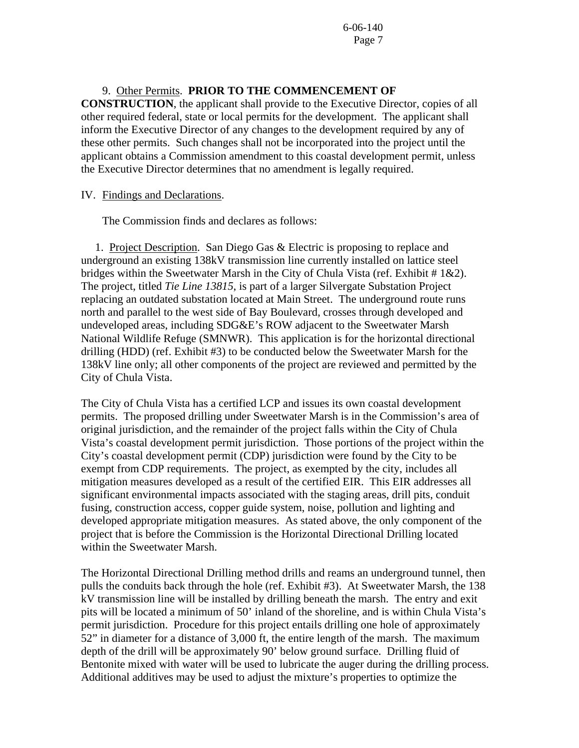# 9. Other Permits. **PRIOR TO THE COMMENCEMENT OF**

**CONSTRUCTION**, the applicant shall provide to the Executive Director, copies of all other required federal, state or local permits for the development. The applicant shall inform the Executive Director of any changes to the development required by any of these other permits. Such changes shall not be incorporated into the project until the applicant obtains a Commission amendment to this coastal development permit, unless the Executive Director determines that no amendment is legally required.

## IV. Findings and Declarations.

The Commission finds and declares as follows:

 1. Project Description. San Diego Gas & Electric is proposing to replace and underground an existing 138kV transmission line currently installed on lattice steel bridges within the Sweetwater Marsh in the City of Chula Vista (ref. Exhibit  $\# 1 \& 2$ ). The project, titled *Tie Line 13815*, is part of a larger Silvergate Substation Project replacing an outdated substation located at Main Street. The underground route runs north and parallel to the west side of Bay Boulevard, crosses through developed and undeveloped areas, including SDG&E's ROW adjacent to the Sweetwater Marsh National Wildlife Refuge (SMNWR). This application is for the horizontal directional drilling (HDD) (ref. Exhibit #3) to be conducted below the Sweetwater Marsh for the 138kV line only; all other components of the project are reviewed and permitted by the City of Chula Vista.

The City of Chula Vista has a certified LCP and issues its own coastal development permits. The proposed drilling under Sweetwater Marsh is in the Commission's area of original jurisdiction, and the remainder of the project falls within the City of Chula Vista's coastal development permit jurisdiction. Those portions of the project within the City's coastal development permit (CDP) jurisdiction were found by the City to be exempt from CDP requirements. The project, as exempted by the city, includes all mitigation measures developed as a result of the certified EIR. This EIR addresses all significant environmental impacts associated with the staging areas, drill pits, conduit fusing, construction access, copper guide system, noise, pollution and lighting and developed appropriate mitigation measures. As stated above, the only component of the project that is before the Commission is the Horizontal Directional Drilling located within the Sweetwater Marsh.

The Horizontal Directional Drilling method drills and reams an underground tunnel, then pulls the conduits back through the hole (ref. Exhibit #3). At Sweetwater Marsh, the 138 kV transmission line will be installed by drilling beneath the marsh. The entry and exit pits will be located a minimum of 50' inland of the shoreline, and is within Chula Vista's permit jurisdiction. Procedure for this project entails drilling one hole of approximately 52" in diameter for a distance of 3,000 ft, the entire length of the marsh. The maximum depth of the drill will be approximately 90' below ground surface. Drilling fluid of Bentonite mixed with water will be used to lubricate the auger during the drilling process. Additional additives may be used to adjust the mixture's properties to optimize the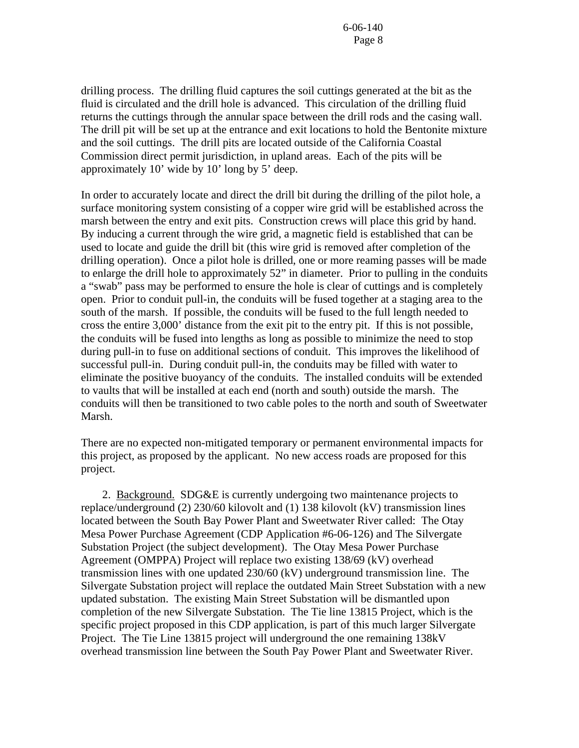drilling process. The drilling fluid captures the soil cuttings generated at the bit as the fluid is circulated and the drill hole is advanced. This circulation of the drilling fluid returns the cuttings through the annular space between the drill rods and the casing wall. The drill pit will be set up at the entrance and exit locations to hold the Bentonite mixture and the soil cuttings. The drill pits are located outside of the California Coastal Commission direct permit jurisdiction, in upland areas. Each of the pits will be approximately 10' wide by 10' long by 5' deep.

In order to accurately locate and direct the drill bit during the drilling of the pilot hole, a surface monitoring system consisting of a copper wire grid will be established across the marsh between the entry and exit pits. Construction crews will place this grid by hand. By inducing a current through the wire grid, a magnetic field is established that can be used to locate and guide the drill bit (this wire grid is removed after completion of the drilling operation). Once a pilot hole is drilled, one or more reaming passes will be made to enlarge the drill hole to approximately 52" in diameter. Prior to pulling in the conduits a "swab" pass may be performed to ensure the hole is clear of cuttings and is completely open. Prior to conduit pull-in, the conduits will be fused together at a staging area to the south of the marsh. If possible, the conduits will be fused to the full length needed to cross the entire 3,000' distance from the exit pit to the entry pit. If this is not possible, the conduits will be fused into lengths as long as possible to minimize the need to stop during pull-in to fuse on additional sections of conduit. This improves the likelihood of successful pull-in. During conduit pull-in, the conduits may be filled with water to eliminate the positive buoyancy of the conduits. The installed conduits will be extended to vaults that will be installed at each end (north and south) outside the marsh. The conduits will then be transitioned to two cable poles to the north and south of Sweetwater Marsh.

There are no expected non-mitigated temporary or permanent environmental impacts for this project, as proposed by the applicant. No new access roads are proposed for this project.

 2. Background. SDG&E is currently undergoing two maintenance projects to replace/underground (2) 230/60 kilovolt and (1) 138 kilovolt (kV) transmission lines located between the South Bay Power Plant and Sweetwater River called: The Otay Mesa Power Purchase Agreement (CDP Application #6-06-126) and The Silvergate Substation Project (the subject development). The Otay Mesa Power Purchase Agreement (OMPPA) Project will replace two existing 138/69 (kV) overhead transmission lines with one updated 230/60 (kV) underground transmission line. The Silvergate Substation project will replace the outdated Main Street Substation with a new updated substation. The existing Main Street Substation will be dismantled upon completion of the new Silvergate Substation. The Tie line 13815 Project, which is the specific project proposed in this CDP application, is part of this much larger Silvergate Project. The Tie Line 13815 project will underground the one remaining 138kV overhead transmission line between the South Pay Power Plant and Sweetwater River.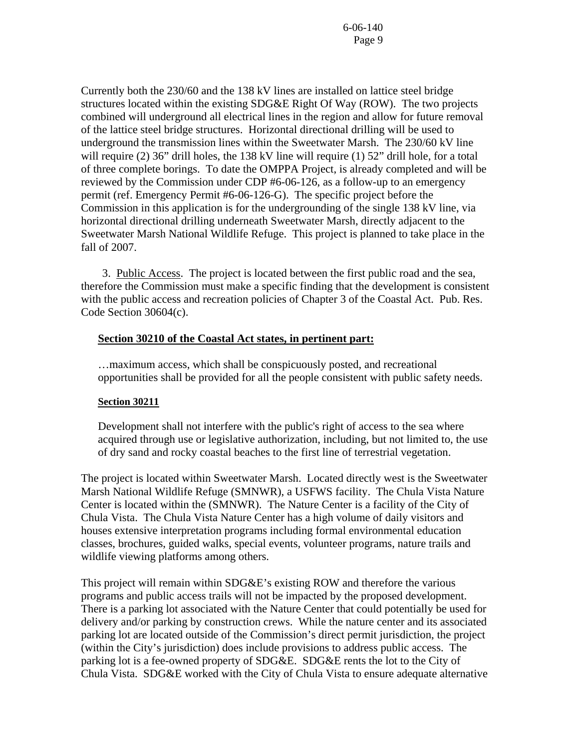Currently both the 230/60 and the 138 kV lines are installed on lattice steel bridge structures located within the existing SDG&E Right Of Way (ROW). The two projects combined will underground all electrical lines in the region and allow for future removal of the lattice steel bridge structures. Horizontal directional drilling will be used to underground the transmission lines within the Sweetwater Marsh. The 230/60 kV line will require (2) 36" drill holes, the 138 kV line will require (1) 52" drill hole, for a total of three complete borings. To date the OMPPA Project, is already completed and will be reviewed by the Commission under CDP #6-06-126, as a follow-up to an emergency permit (ref. Emergency Permit #6-06-126-G). The specific project before the Commission in this application is for the undergrounding of the single 138 kV line, via horizontal directional drilling underneath Sweetwater Marsh, directly adjacent to the Sweetwater Marsh National Wildlife Refuge. This project is planned to take place in the fall of 2007.

 3. Public Access. The project is located between the first public road and the sea, therefore the Commission must make a specific finding that the development is consistent with the public access and recreation policies of Chapter 3 of the Coastal Act. Pub. Res. Code Section 30604(c).

# **Section 30210 of the Coastal Act states, in pertinent part:**

…maximum access, which shall be conspicuously posted, and recreational opportunities shall be provided for all the people consistent with public safety needs.

# **Section 30211**

Development shall not interfere with the public's right of access to the sea where acquired through use or legislative authorization, including, but not limited to, the use of dry sand and rocky coastal beaches to the first line of terrestrial vegetation.

The project is located within Sweetwater Marsh. Located directly west is the Sweetwater Marsh National Wildlife Refuge (SMNWR), a USFWS facility. The Chula Vista Nature Center is located within the (SMNWR). The Nature Center is a facility of the City of Chula Vista. The Chula Vista Nature Center has a high volume of daily visitors and houses extensive interpretation programs including formal environmental education classes, brochures, guided walks, special events, volunteer programs, nature trails and wildlife viewing platforms among others.

This project will remain within SDG&E's existing ROW and therefore the various programs and public access trails will not be impacted by the proposed development. There is a parking lot associated with the Nature Center that could potentially be used for delivery and/or parking by construction crews. While the nature center and its associated parking lot are located outside of the Commission's direct permit jurisdiction, the project (within the City's jurisdiction) does include provisions to address public access. The parking lot is a fee-owned property of SDG&E. SDG&E rents the lot to the City of Chula Vista. SDG&E worked with the City of Chula Vista to ensure adequate alternative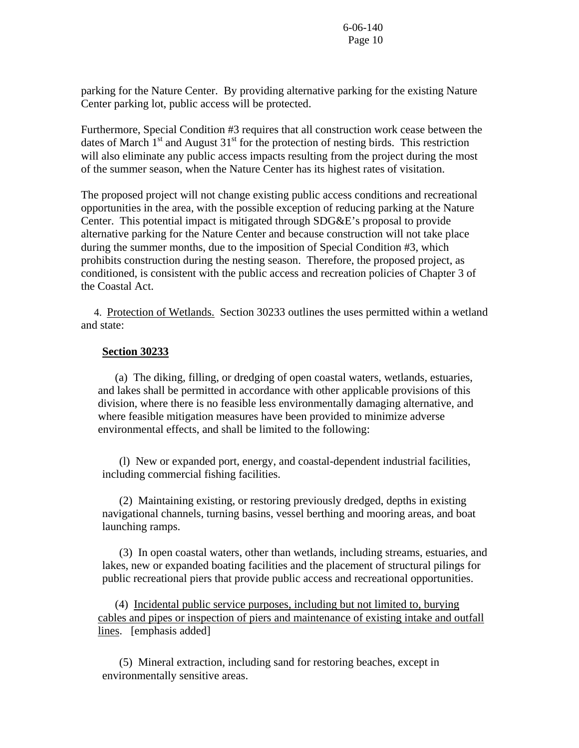parking for the Nature Center. By providing alternative parking for the existing Nature Center parking lot, public access will be protected.

Furthermore, Special Condition #3 requires that all construction work cease between the dates of March  $1<sup>st</sup>$  and August  $31<sup>st</sup>$  for the protection of nesting birds. This restriction will also eliminate any public access impacts resulting from the project during the most of the summer season, when the Nature Center has its highest rates of visitation.

The proposed project will not change existing public access conditions and recreational opportunities in the area, with the possible exception of reducing parking at the Nature Center. This potential impact is mitigated through SDG&E's proposal to provide alternative parking for the Nature Center and because construction will not take place during the summer months, due to the imposition of Special Condition #3, which prohibits construction during the nesting season. Therefore, the proposed project, as conditioned, is consistent with the public access and recreation policies of Chapter 3 of the Coastal Act.

 4. Protection of Wetlands. Section 30233 outlines the uses permitted within a wetland and state:

## **Section 30233**

 (a) The diking, filling, or dredging of open coastal waters, wetlands, estuaries, and lakes shall be permitted in accordance with other applicable provisions of this division, where there is no feasible less environmentally damaging alternative, and where feasible mitigation measures have been provided to minimize adverse environmental effects, and shall be limited to the following:

 (l) New or expanded port, energy, and coastal-dependent industrial facilities, including commercial fishing facilities.

 (2) Maintaining existing, or restoring previously dredged, depths in existing navigational channels, turning basins, vessel berthing and mooring areas, and boat launching ramps.

 (3) In open coastal waters, other than wetlands, including streams, estuaries, and lakes, new or expanded boating facilities and the placement of structural pilings for public recreational piers that provide public access and recreational opportunities.

 (4) Incidental public service purposes, including but not limited to, burying cables and pipes or inspection of piers and maintenance of existing intake and outfall lines. [emphasis added]

 (5) Mineral extraction, including sand for restoring beaches, except in environmentally sensitive areas.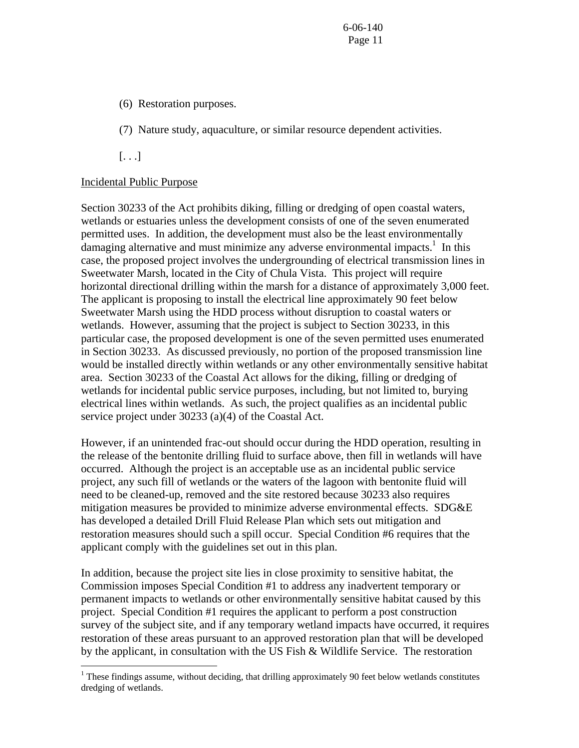- (6) Restoration purposes.
- (7) Nature study, aquaculture, or similar resource dependent activities.

[. . .]

 $\overline{a}$ 

# Incidental Public Purpose

Section 30233 of the Act prohibits diking, filling or dredging of open coastal waters, wetlands or estuaries unless the development consists of one of the seven enumerated permitted uses. In addition, the development must also be the least environmentally damaging alternative and must minimize any adverse environmental impacts.<sup>[1](#page-10-0)</sup> In this case, the proposed project involves the undergrounding of electrical transmission lines in Sweetwater Marsh, located in the City of Chula Vista. This project will require horizontal directional drilling within the marsh for a distance of approximately 3,000 feet. The applicant is proposing to install the electrical line approximately 90 feet below Sweetwater Marsh using the HDD process without disruption to coastal waters or wetlands. However, assuming that the project is subject to Section 30233, in this particular case, the proposed development is one of the seven permitted uses enumerated in Section 30233. As discussed previously, no portion of the proposed transmission line would be installed directly within wetlands or any other environmentally sensitive habitat area. Section 30233 of the Coastal Act allows for the diking, filling or dredging of wetlands for incidental public service purposes, including, but not limited to, burying electrical lines within wetlands. As such, the project qualifies as an incidental public service project under 30233 (a)(4) of the Coastal Act.

However, if an unintended frac-out should occur during the HDD operation, resulting in the release of the bentonite drilling fluid to surface above, then fill in wetlands will have occurred. Although the project is an acceptable use as an incidental public service project, any such fill of wetlands or the waters of the lagoon with bentonite fluid will need to be cleaned-up, removed and the site restored because 30233 also requires mitigation measures be provided to minimize adverse environmental effects. SDG&E has developed a detailed Drill Fluid Release Plan which sets out mitigation and restoration measures should such a spill occur. Special Condition #6 requires that the applicant comply with the guidelines set out in this plan.

In addition, because the project site lies in close proximity to sensitive habitat, the Commission imposes Special Condition #1 to address any inadvertent temporary or permanent impacts to wetlands or other environmentally sensitive habitat caused by this project. Special Condition #1 requires the applicant to perform a post construction survey of the subject site, and if any temporary wetland impacts have occurred, it requires restoration of these areas pursuant to an approved restoration plan that will be developed by the applicant, in consultation with the US Fish & Wildlife Service. The restoration

<span id="page-10-0"></span> $1$  These findings assume, without deciding, that drilling approximately 90 feet below wetlands constitutes dredging of wetlands.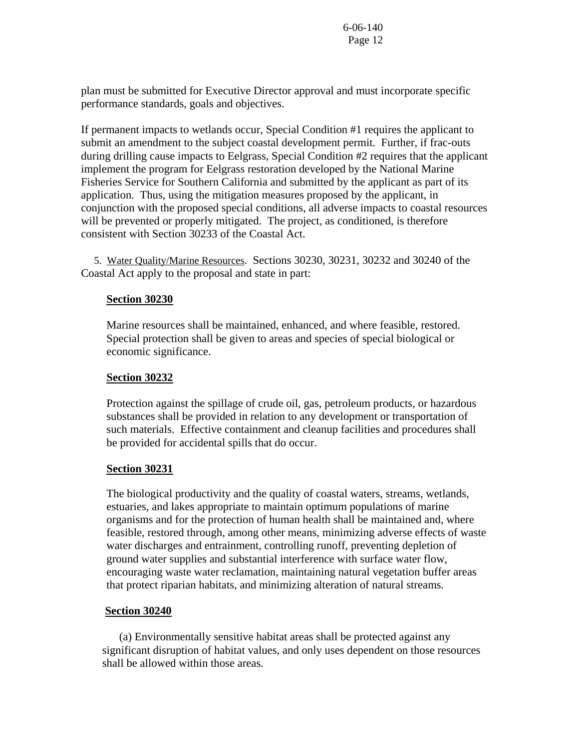plan must be submitted for Executive Director approval and must incorporate specific performance standards, goals and objectives.

If permanent impacts to wetlands occur, Special Condition #1 requires the applicant to submit an amendment to the subject coastal development permit. Further, if frac-outs during drilling cause impacts to Eelgrass, Special Condition #2 requires that the applicant implement the program for Eelgrass restoration developed by the National Marine Fisheries Service for Southern California and submitted by the applicant as part of its application. Thus, using the mitigation measures proposed by the applicant, in conjunction with the proposed special conditions, all adverse impacts to coastal resources will be prevented or properly mitigated. The project, as conditioned, is therefore consistent with Section 30233 of the Coastal Act.

 5. Water Quality/Marine Resources. Sections 30230, 30231, 30232 and 30240 of the Coastal Act apply to the proposal and state in part:

# **Section 30230**

Marine resources shall be maintained, enhanced, and where feasible, restored. Special protection shall be given to areas and species of special biological or economic significance.

# **Section 30232**

Protection against the spillage of crude oil, gas, petroleum products, or hazardous substances shall be provided in relation to any development or transportation of such materials. Effective containment and cleanup facilities and procedures shall be provided for accidental spills that do occur.

# **Section 30231**

The biological productivity and the quality of coastal waters, streams, wetlands, estuaries, and lakes appropriate to maintain optimum populations of marine organisms and for the protection of human health shall be maintained and, where feasible, restored through, among other means, minimizing adverse effects of waste water discharges and entrainment, controlling runoff, preventing depletion of ground water supplies and substantial interference with surface water flow, encouraging waste water reclamation, maintaining natural vegetation buffer areas that protect riparian habitats, and minimizing alteration of natural streams.

# **Section 30240**

 (a) Environmentally sensitive habitat areas shall be protected against any significant disruption of habitat values, and only uses dependent on those resources shall be allowed within those areas.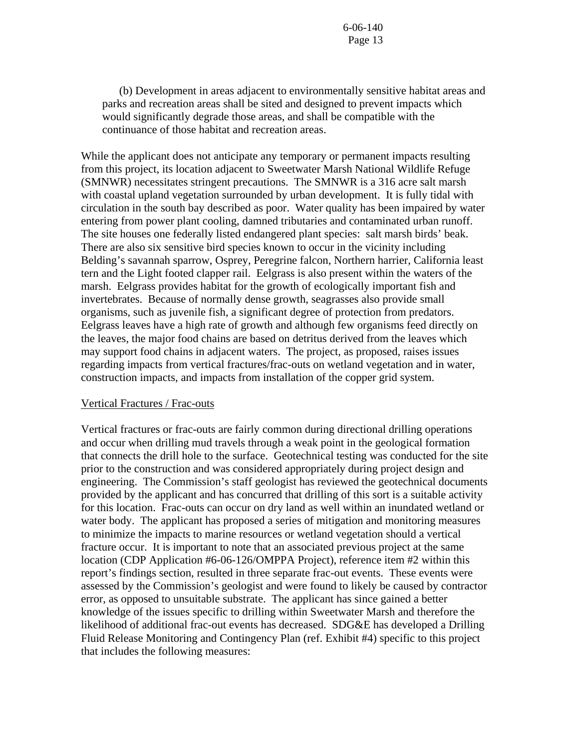(b) Development in areas adjacent to environmentally sensitive habitat areas and parks and recreation areas shall be sited and designed to prevent impacts which would significantly degrade those areas, and shall be compatible with the continuance of those habitat and recreation areas.

While the applicant does not anticipate any temporary or permanent impacts resulting from this project, its location adjacent to Sweetwater Marsh National Wildlife Refuge (SMNWR) necessitates stringent precautions. The SMNWR is a 316 acre salt marsh with coastal upland vegetation surrounded by urban development. It is fully tidal with circulation in the south bay described as poor. Water quality has been impaired by water entering from power plant cooling, damned tributaries and contaminated urban runoff. The site houses one federally listed endangered plant species: salt marsh birds' beak. There are also six sensitive bird species known to occur in the vicinity including Belding's savannah sparrow, Osprey, Peregrine falcon, Northern harrier, California least tern and the Light footed clapper rail. Eelgrass is also present within the waters of the marsh. Eelgrass provides habitat for the growth of ecologically important fish and invertebrates. Because of normally dense growth, seagrasses also provide small organisms, such as juvenile fish, a significant degree of protection from predators. Eelgrass leaves have a high rate of growth and although few organisms feed directly on the leaves, the major food chains are based on detritus derived from the leaves which may support food chains in adjacent waters. The project, as proposed, raises issues regarding impacts from vertical fractures/frac-outs on wetland vegetation and in water, construction impacts, and impacts from installation of the copper grid system.

## Vertical Fractures / Frac-outs

Vertical fractures or frac-outs are fairly common during directional drilling operations and occur when drilling mud travels through a weak point in the geological formation that connects the drill hole to the surface. Geotechnical testing was conducted for the site prior to the construction and was considered appropriately during project design and engineering. The Commission's staff geologist has reviewed the geotechnical documents provided by the applicant and has concurred that drilling of this sort is a suitable activity for this location. Frac-outs can occur on dry land as well within an inundated wetland or water body. The applicant has proposed a series of mitigation and monitoring measures to minimize the impacts to marine resources or wetland vegetation should a vertical fracture occur. It is important to note that an associated previous project at the same location (CDP Application #6-06-126/OMPPA Project), reference item #2 within this report's findings section, resulted in three separate frac-out events. These events were assessed by the Commission's geologist and were found to likely be caused by contractor error, as opposed to unsuitable substrate. The applicant has since gained a better knowledge of the issues specific to drilling within Sweetwater Marsh and therefore the likelihood of additional frac-out events has decreased. SDG&E has developed a Drilling Fluid Release Monitoring and Contingency Plan (ref. Exhibit #4) specific to this project that includes the following measures: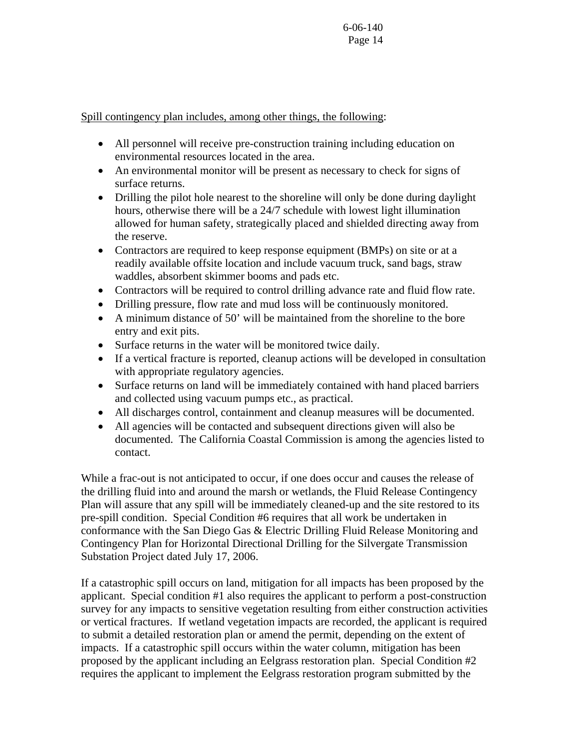Spill contingency plan includes, among other things, the following:

- All personnel will receive pre-construction training including education on environmental resources located in the area.
- An environmental monitor will be present as necessary to check for signs of surface returns.
- Drilling the pilot hole nearest to the shoreline will only be done during daylight hours, otherwise there will be a 24/7 schedule with lowest light illumination allowed for human safety, strategically placed and shielded directing away from the reserve.
- Contractors are required to keep response equipment (BMPs) on site or at a readily available offsite location and include vacuum truck, sand bags, straw waddles, absorbent skimmer booms and pads etc.
- Contractors will be required to control drilling advance rate and fluid flow rate.
- Drilling pressure, flow rate and mud loss will be continuously monitored.
- A minimum distance of 50' will be maintained from the shoreline to the bore entry and exit pits.
- Surface returns in the water will be monitored twice daily.
- If a vertical fracture is reported, cleanup actions will be developed in consultation with appropriate regulatory agencies.
- Surface returns on land will be immediately contained with hand placed barriers and collected using vacuum pumps etc., as practical.
- All discharges control, containment and cleanup measures will be documented.
- All agencies will be contacted and subsequent directions given will also be documented. The California Coastal Commission is among the agencies listed to contact.

While a frac-out is not anticipated to occur, if one does occur and causes the release of the drilling fluid into and around the marsh or wetlands, the Fluid Release Contingency Plan will assure that any spill will be immediately cleaned-up and the site restored to its pre-spill condition. Special Condition #6 requires that all work be undertaken in conformance with the San Diego Gas & Electric Drilling Fluid Release Monitoring and Contingency Plan for Horizontal Directional Drilling for the Silvergate Transmission Substation Project dated July 17, 2006.

If a catastrophic spill occurs on land, mitigation for all impacts has been proposed by the applicant. Special condition #1 also requires the applicant to perform a post-construction survey for any impacts to sensitive vegetation resulting from either construction activities or vertical fractures. If wetland vegetation impacts are recorded, the applicant is required to submit a detailed restoration plan or amend the permit, depending on the extent of impacts. If a catastrophic spill occurs within the water column, mitigation has been proposed by the applicant including an Eelgrass restoration plan. Special Condition #2 requires the applicant to implement the Eelgrass restoration program submitted by the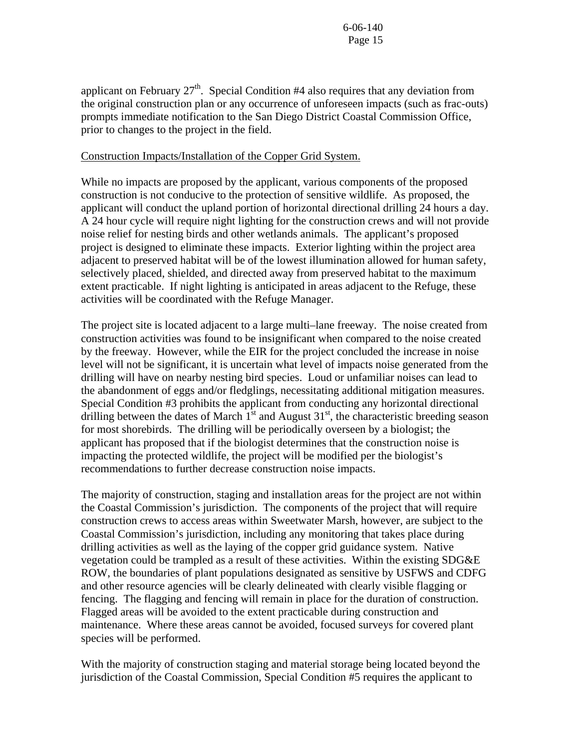applicant on February  $27<sup>th</sup>$ . Special Condition #4 also requires that any deviation from the original construction plan or any occurrence of unforeseen impacts (such as frac-outs) prompts immediate notification to the San Diego District Coastal Commission Office, prior to changes to the project in the field.

# Construction Impacts/Installation of the Copper Grid System.

While no impacts are proposed by the applicant, various components of the proposed construction is not conducive to the protection of sensitive wildlife. As proposed, the applicant will conduct the upland portion of horizontal directional drilling 24 hours a day. A 24 hour cycle will require night lighting for the construction crews and will not provide noise relief for nesting birds and other wetlands animals. The applicant's proposed project is designed to eliminate these impacts. Exterior lighting within the project area adjacent to preserved habitat will be of the lowest illumination allowed for human safety, selectively placed, shielded, and directed away from preserved habitat to the maximum extent practicable. If night lighting is anticipated in areas adjacent to the Refuge, these activities will be coordinated with the Refuge Manager.

The project site is located adjacent to a large multi–lane freeway. The noise created from construction activities was found to be insignificant when compared to the noise created by the freeway. However, while the EIR for the project concluded the increase in noise level will not be significant, it is uncertain what level of impacts noise generated from the drilling will have on nearby nesting bird species. Loud or unfamiliar noises can lead to the abandonment of eggs and/or fledglings, necessitating additional mitigation measures. Special Condition #3 prohibits the applicant from conducting any horizontal directional drilling between the dates of March  $1<sup>st</sup>$  and August 31<sup>st</sup>, the characteristic breeding season for most shorebirds. The drilling will be periodically overseen by a biologist; the applicant has proposed that if the biologist determines that the construction noise is impacting the protected wildlife, the project will be modified per the biologist's recommendations to further decrease construction noise impacts.

The majority of construction, staging and installation areas for the project are not within the Coastal Commission's jurisdiction. The components of the project that will require construction crews to access areas within Sweetwater Marsh, however, are subject to the Coastal Commission's jurisdiction, including any monitoring that takes place during drilling activities as well as the laying of the copper grid guidance system. Native vegetation could be trampled as a result of these activities. Within the existing SDG&E ROW, the boundaries of plant populations designated as sensitive by USFWS and CDFG and other resource agencies will be clearly delineated with clearly visible flagging or fencing. The flagging and fencing will remain in place for the duration of construction. Flagged areas will be avoided to the extent practicable during construction and maintenance. Where these areas cannot be avoided, focused surveys for covered plant species will be performed.

With the majority of construction staging and material storage being located beyond the jurisdiction of the Coastal Commission, Special Condition #5 requires the applicant to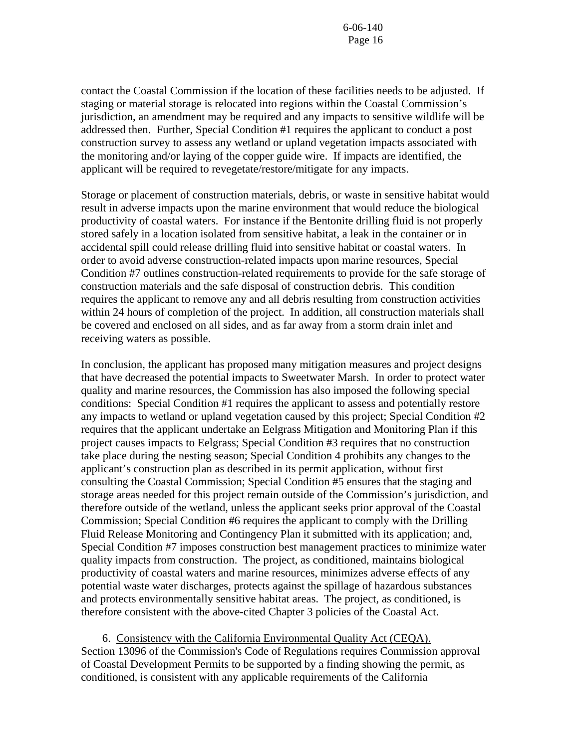contact the Coastal Commission if the location of these facilities needs to be adjusted. If staging or material storage is relocated into regions within the Coastal Commission's jurisdiction, an amendment may be required and any impacts to sensitive wildlife will be addressed then. Further, Special Condition #1 requires the applicant to conduct a post construction survey to assess any wetland or upland vegetation impacts associated with the monitoring and/or laying of the copper guide wire. If impacts are identified, the applicant will be required to revegetate/restore/mitigate for any impacts.

Storage or placement of construction materials, debris, or waste in sensitive habitat would result in adverse impacts upon the marine environment that would reduce the biological productivity of coastal waters. For instance if the Bentonite drilling fluid is not properly stored safely in a location isolated from sensitive habitat, a leak in the container or in accidental spill could release drilling fluid into sensitive habitat or coastal waters. In order to avoid adverse construction-related impacts upon marine resources, Special Condition #7 outlines construction-related requirements to provide for the safe storage of construction materials and the safe disposal of construction debris. This condition requires the applicant to remove any and all debris resulting from construction activities within 24 hours of completion of the project. In addition, all construction materials shall be covered and enclosed on all sides, and as far away from a storm drain inlet and receiving waters as possible.

In conclusion, the applicant has proposed many mitigation measures and project designs that have decreased the potential impacts to Sweetwater Marsh. In order to protect water quality and marine resources, the Commission has also imposed the following special conditions: Special Condition #1 requires the applicant to assess and potentially restore any impacts to wetland or upland vegetation caused by this project; Special Condition #2 requires that the applicant undertake an Eelgrass Mitigation and Monitoring Plan if this project causes impacts to Eelgrass; Special Condition #3 requires that no construction take place during the nesting season; Special Condition 4 prohibits any changes to the applicant's construction plan as described in its permit application, without first consulting the Coastal Commission; Special Condition #5 ensures that the staging and storage areas needed for this project remain outside of the Commission's jurisdiction, and therefore outside of the wetland, unless the applicant seeks prior approval of the Coastal Commission; Special Condition #6 requires the applicant to comply with the Drilling Fluid Release Monitoring and Contingency Plan it submitted with its application; and, Special Condition #7 imposes construction best management practices to minimize water quality impacts from construction. The project, as conditioned, maintains biological productivity of coastal waters and marine resources, minimizes adverse effects of any potential waste water discharges, protects against the spillage of hazardous substances and protects environmentally sensitive habitat areas. The project, as conditioned, is therefore consistent with the above-cited Chapter 3 policies of the Coastal Act.

 6. Consistency with the California Environmental Quality Act (CEQA). Section 13096 of the Commission's Code of Regulations requires Commission approval of Coastal Development Permits to be supported by a finding showing the permit, as conditioned, is consistent with any applicable requirements of the California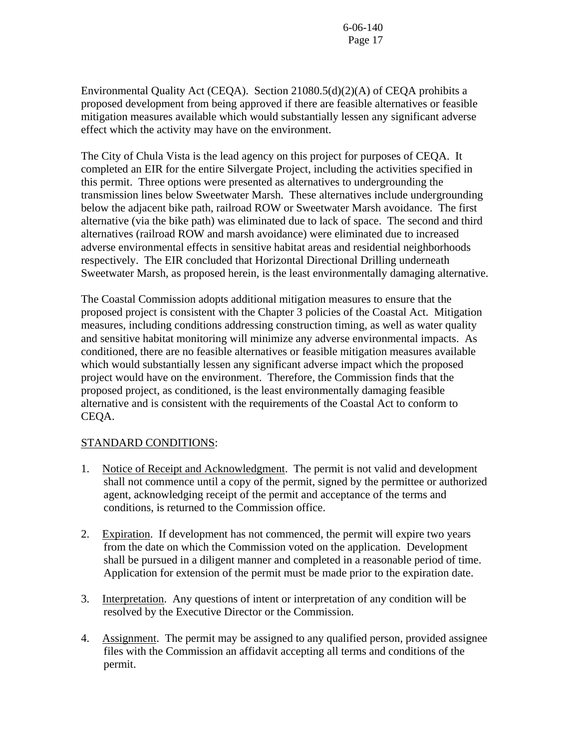Environmental Quality Act (CEQA). Section 21080.5(d)(2)(A) of CEQA prohibits a proposed development from being approved if there are feasible alternatives or feasible mitigation measures available which would substantially lessen any significant adverse effect which the activity may have on the environment.

The City of Chula Vista is the lead agency on this project for purposes of CEQA. It completed an EIR for the entire Silvergate Project, including the activities specified in this permit. Three options were presented as alternatives to undergrounding the transmission lines below Sweetwater Marsh. These alternatives include undergrounding below the adjacent bike path, railroad ROW or Sweetwater Marsh avoidance. The first alternative (via the bike path) was eliminated due to lack of space. The second and third alternatives (railroad ROW and marsh avoidance) were eliminated due to increased adverse environmental effects in sensitive habitat areas and residential neighborhoods respectively. The EIR concluded that Horizontal Directional Drilling underneath Sweetwater Marsh, as proposed herein, is the least environmentally damaging alternative.

The Coastal Commission adopts additional mitigation measures to ensure that the proposed project is consistent with the Chapter 3 policies of the Coastal Act. Mitigation measures, including conditions addressing construction timing, as well as water quality and sensitive habitat monitoring will minimize any adverse environmental impacts. As conditioned, there are no feasible alternatives or feasible mitigation measures available which would substantially lessen any significant adverse impact which the proposed project would have on the environment. Therefore, the Commission finds that the proposed project, as conditioned, is the least environmentally damaging feasible alternative and is consistent with the requirements of the Coastal Act to conform to CEQA.

# STANDARD CONDITIONS:

- 1. Notice of Receipt and Acknowledgment. The permit is not valid and development shall not commence until a copy of the permit, signed by the permittee or authorized agent, acknowledging receipt of the permit and acceptance of the terms and conditions, is returned to the Commission office.
- 2. Expiration. If development has not commenced, the permit will expire two years from the date on which the Commission voted on the application. Development shall be pursued in a diligent manner and completed in a reasonable period of time. Application for extension of the permit must be made prior to the expiration date.
- 3. Interpretation. Any questions of intent or interpretation of any condition will be resolved by the Executive Director or the Commission.
- 4. Assignment. The permit may be assigned to any qualified person, provided assignee files with the Commission an affidavit accepting all terms and conditions of the permit.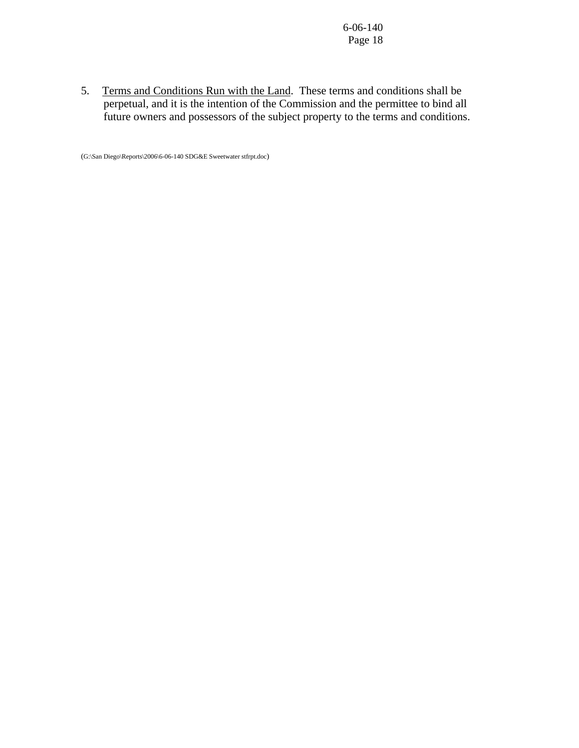5. Terms and Conditions Run with the Land. These terms and conditions shall be perpetual, and it is the intention of the Commission and the permittee to bind all future owners and possessors of the subject property to the terms and conditions.

(G:\San Diego\Reports\2006\6-06-140 SDG&E Sweetwater stfrpt.doc)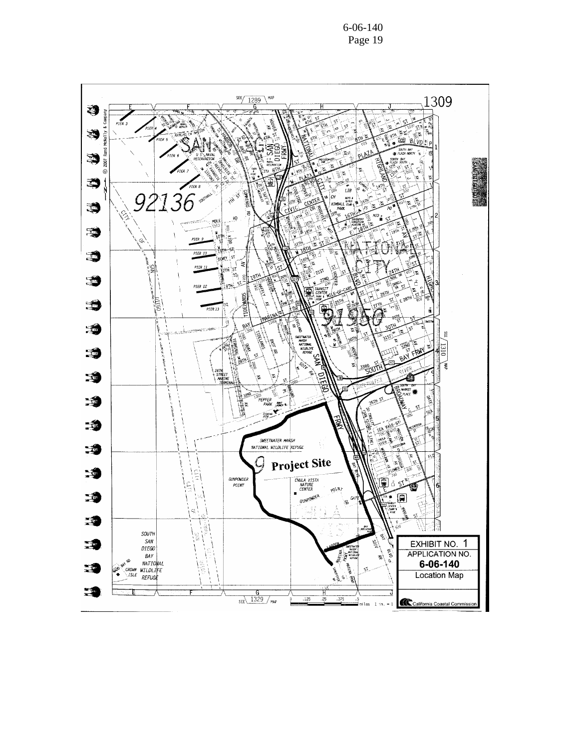6-06-140 Page 19

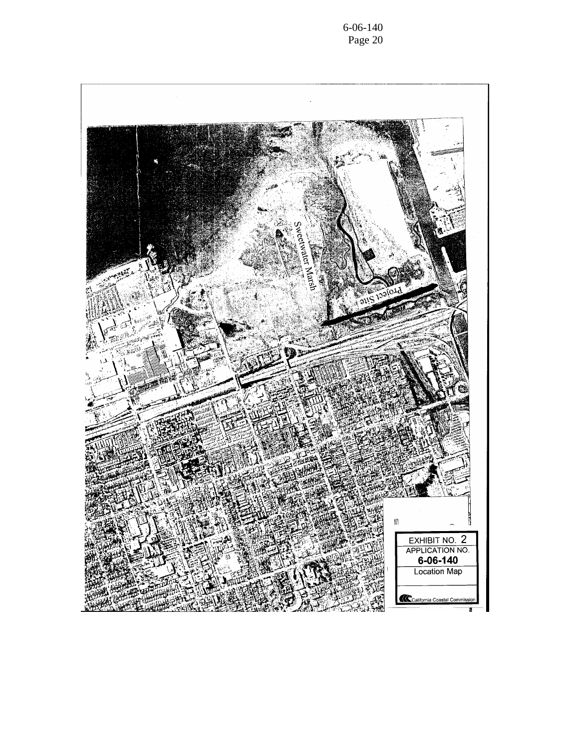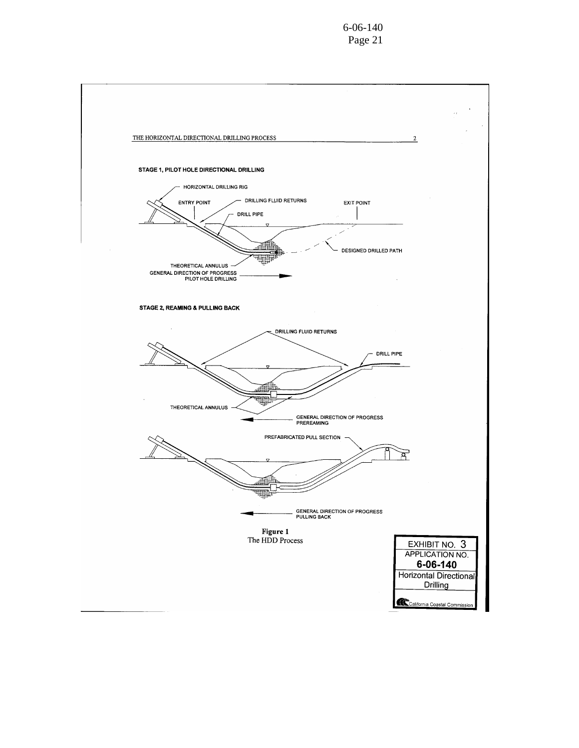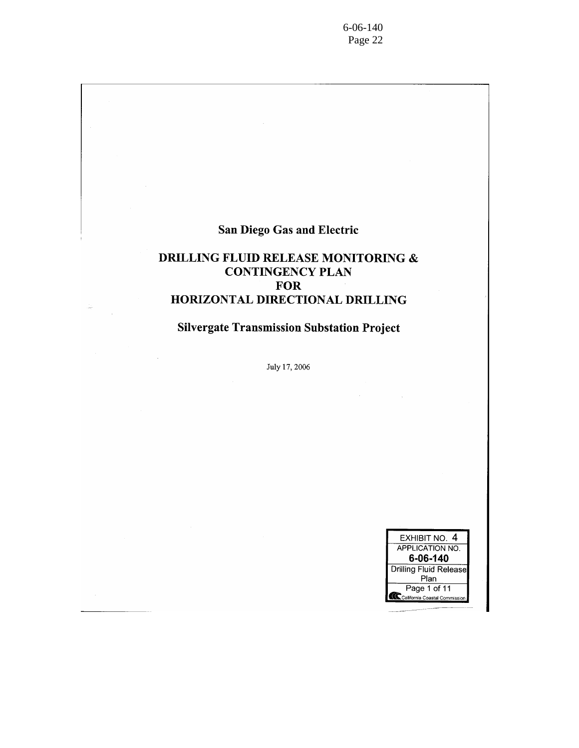$6 - 06 - 140$ Page 22

# **San Diego Gas and Electric**

# DRILLING FLUID RELEASE MONITORING  $\&$ **CONTINGENCY PLAN FOR** HORIZONTAL DIRECTIONAL DRILLING

# **Silvergate Transmission Substation Project**

July 17, 2006

| EXHIBIT NO. 4                       |  |  |  |
|-------------------------------------|--|--|--|
| <b>APPLICATION NO.</b>              |  |  |  |
| 6-06-140                            |  |  |  |
| Drilling Fluid Release              |  |  |  |
| Plan                                |  |  |  |
| Page 1 of 11                        |  |  |  |
| ⊾<br>⊾California Coastal Commission |  |  |  |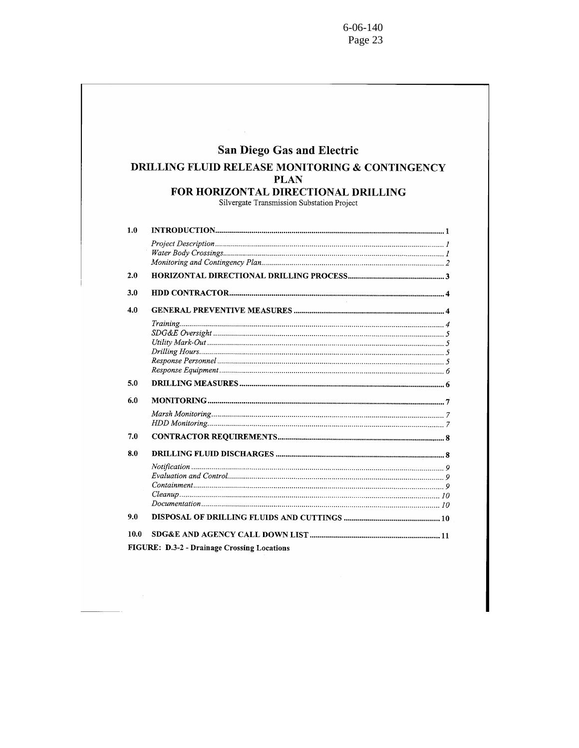|     | <b>San Diego Gas and Electric</b>                                                        |
|-----|------------------------------------------------------------------------------------------|
|     | <b>DRILLING FLUID RELEASE MONITORING &amp; CONTINGENCY</b><br><b>PLAN</b>                |
|     | <b>FOR HORIZONTAL DIRECTIONAL DRILLING</b><br>Silvergate Transmission Substation Project |
| 1.0 |                                                                                          |
|     |                                                                                          |
| 2.0 |                                                                                          |
| 3.0 |                                                                                          |
| 4.0 |                                                                                          |
|     |                                                                                          |
| 5.0 |                                                                                          |
| 6.0 |                                                                                          |
|     |                                                                                          |
| 7.0 |                                                                                          |
| 8.0 |                                                                                          |
|     |                                                                                          |
| 9.0 |                                                                                          |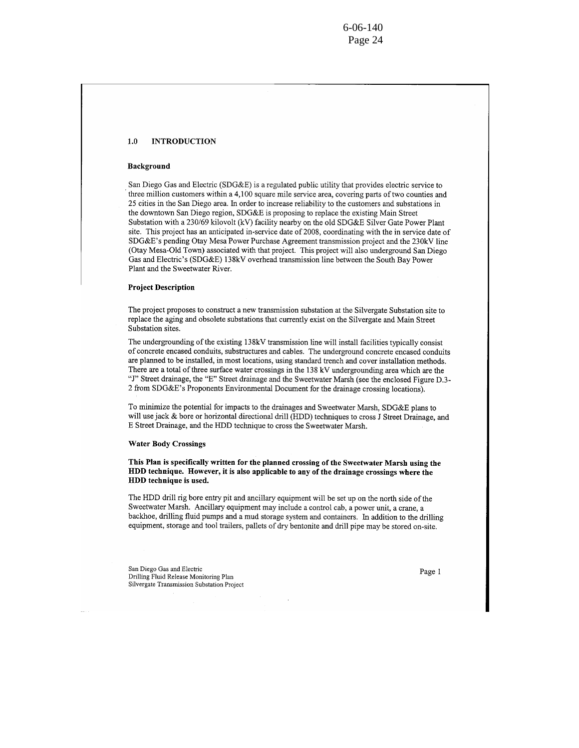$6 - 06 - 140$ Page 24

#### **INTRODUCTION**  $1.0$

#### Background

San Diego Gas and Electric (SDG&E) is a regulated public utility that provides electric service to three million customers within a 4,100 square mile service area, covering parts of two counties and 25 cities in the San Diego area. In order to increase reliability to the customers and substations in the downtown San Diego region, SDG&E is proposing to replace the existing Main Street Substation with a 230/69 kilovolt (kV) facility nearby on the old SDG&E Silver Gate Power Plant site. This project has an anticipated in-service date of 2008, coordinating with the in service date of SDG&E's pending Otay Mesa Power Purchase Agreement transmission project and the 230kV line (Otay Mesa-Old Town) associated with that project. This project will also underground San Diego Gas and Electric's (SDG&E) 138kV overhead transmission line between the South Bay Power Plant and the Sweetwater River.

### **Project Description**

The project proposes to construct a new transmission substation at the Silvergate Substation site to replace the aging and obsolete substations that currently exist on the Silvergate and Main Street Substation sites.

The undergrounding of the existing 138kV transmission line will install facilities typically consist of concrete encased conduits, substructures and cables. The underground concrete encased conduits are planned to be installed, in most locations, using standard trench and cover installation methods. There are a total of three surface water crossings in the 138 kV undergrounding area which are the "J" Street drainage, the "E" Street drainage and the Sweetwater Marsh (see the enclosed Figure D.3-2 from SDG&E's Proponents Environmental Document for the drainage crossing locations).

To minimize the potential for impacts to the drainages and Sweetwater Marsh, SDG&E plans to will use jack & bore or horizontal directional drill (HDD) techniques to cross J Street Drainage, and E Street Drainage, and the HDD technique to cross the Sweetwater Marsh.

#### **Water Body Crossings**

This Plan is specifically written for the planned crossing of the Sweetwater Marsh using the HDD technique. However, it is also applicable to any of the drainage crossings where the HDD technique is used.

The HDD drill rig bore entry pit and ancillary equipment will be set up on the north side of the Sweetwater Marsh. Ancillary equipment may include a control cab, a power unit, a crane, a backhoe, drilling fluid pumps and a mud storage system and containers. In addition to the drilling equipment, storage and tool trailers, pallets of dry bentonite and drill pipe may be stored on-site.

San Diego Gas and Electric Drilling Fluid Release Monitoring Plan Silvergate Transmission Substation Project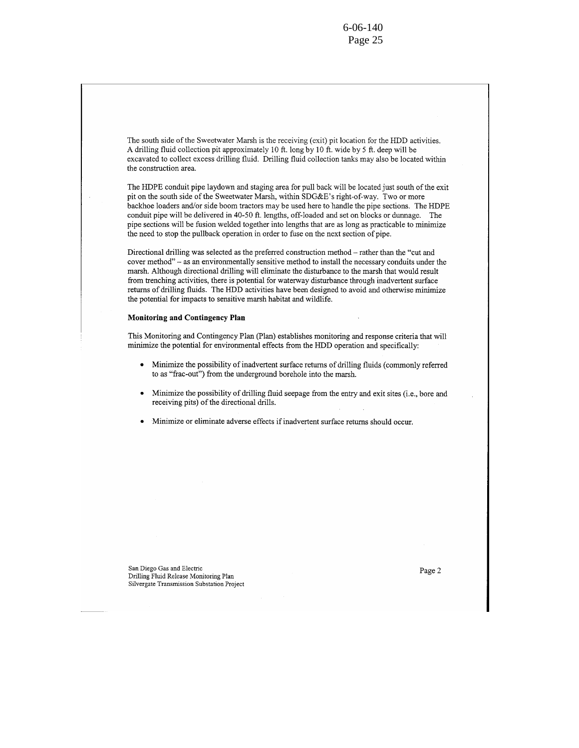The south side of the Sweetwater Marsh is the receiving (exit) pit location for the HDD activities. A drilling fluid collection pit approximately 10 ft. long by 10 ft. wide by 5 ft. deep will be excavated to collect excess drilling fluid. Drilling fluid collection tanks may also be located within the construction area.

The HDPE conduit pipe laydown and staging area for pull back will be located just south of the exit pit on the south side of the Sweetwater Marsh, within SDG&E's right-of-way. Two or more backhoe loaders and/or side boom tractors may be used here to handle the pipe sections. The HDPE conduit pipe will be delivered in 40-50 ft. lengths, off-loaded and set on blocks or dunnage. The pipe sections will be fusion welded together into lengths that are as long as practicable to minimize the need to stop the pullback operation in order to fuse on the next section of pipe.

Directional drilling was selected as the preferred construction method – rather than the "cut and cover method" – as an environmentally sensitive method to install the necessary conduits under the marsh. Although directional drilling will eliminate the disturbance to the marsh that would result from trenching activities, there is potential for waterway disturbance through inadvertent surface returns of drilling fluids. The HDD activities have been designed to avoid and otherwise minimize the potential for impacts to sensitive marsh habitat and wildlife.

### **Monitoring and Contingency Plan**

This Monitoring and Contingency Plan (Plan) establishes monitoring and response criteria that will minimize the potential for environmental effects from the HDD operation and specifically:

- Minimize the possibility of inadvertent surface returns of drilling fluids (commonly referred  $\bullet$ to as "frac-out") from the underground borehole into the marsh.
- Minimize the possibility of drilling fluid seepage from the entry and exit sites (i.e., bore and receiving pits) of the directional drills.
- Minimize or eliminate adverse effects if inadvertent surface returns should occur.

San Diego Gas and Electric Drilling Fluid Release Monitoring Plan Silvergate Transmission Substation Project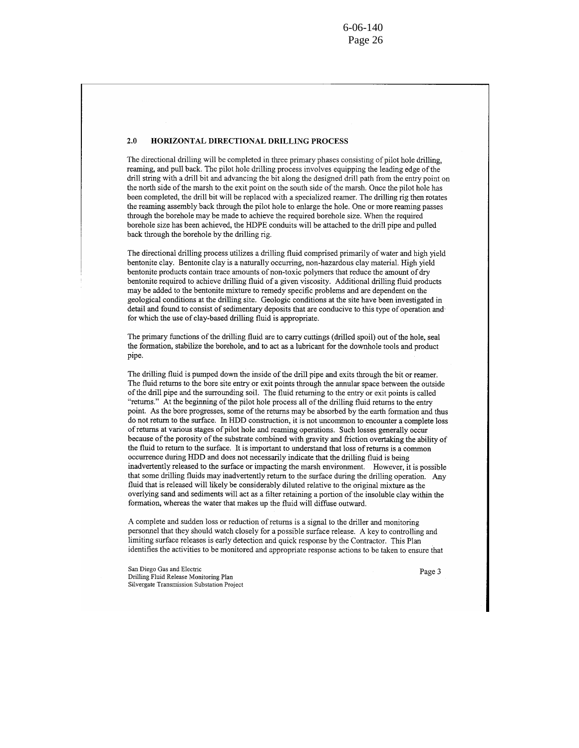#### $2.0$ HORIZONTAL DIRECTIONAL DRILLING PROCESS

The directional drilling will be completed in three primary phases consisting of pilot hole drilling. reaming, and pull back. The pilot hole drilling process involves equipping the leading edge of the drill string with a drill bit and advancing the bit along the designed drill path from the entry point on the north side of the marsh to the exit point on the south side of the marsh. Once the pilot hole has been completed, the drill bit will be replaced with a specialized reamer. The drilling rig then rotates the reaming assembly back through the pilot hole to enlarge the hole. One or more reaming passes through the borehole may be made to achieve the required borehole size. When the required borehole size has been achieved, the HDPE conduits will be attached to the drill pipe and pulled back through the borehole by the drilling rig.

The directional drilling process utilizes a drilling fluid comprised primarily of water and high yield bentonite clay. Bentonite clay is a naturally occurring, non-hazardous clay material. High yield bentonite products contain trace amounts of non-toxic polymers that reduce the amount of dry bentonite required to achieve drilling fluid of a given viscosity. Additional drilling fluid products may be added to the bentonite mixture to remedy specific problems and are dependent on the geological conditions at the drilling site. Geologic conditions at the site have been investigated in detail and found to consist of sedimentary deposits that are conducive to this type of operation and for which the use of clay-based drilling fluid is appropriate.

The primary functions of the drilling fluid are to carry cuttings (drilled spoil) out of the hole, seal the formation, stabilize the borehole, and to act as a lubricant for the downhole tools and product pipe.

The drilling fluid is pumped down the inside of the drill pipe and exits through the bit or reamer. The fluid returns to the bore site entry or exit points through the annular space between the outside of the drill pipe and the surrounding soil. The fluid returning to the entry or exit points is called "returns." At the beginning of the pilot hole process all of the drilling fluid returns to the entry point. As the bore progresses, some of the returns may be absorbed by the earth formation and thus do not return to the surface. In HDD construction, it is not uncommon to encounter a complete loss of returns at various stages of pilot hole and reaming operations. Such losses generally occur because of the porosity of the substrate combined with gravity and friction overtaking the ability of the fluid to return to the surface. It is important to understand that loss of returns is a common occurrence during HDD and does not necessarily indicate that the drilling fluid is being inadvertently released to the surface or impacting the marsh environment. However, it is possible that some drilling fluids may inadvertently return to the surface during the drilling operation. Any fluid that is released will likely be considerably diluted relative to the original mixture as the overlying sand and sediments will act as a filter retaining a portion of the insoluble clay within the formation, whereas the water that makes up the fluid will diffuse outward.

A complete and sudden loss or reduction of returns is a signal to the driller and monitoring personnel that they should watch closely for a possible surface release. A key to controlling and limiting surface releases is early detection and quick response by the Contractor. This Plan identifies the activities to be monitored and appropriate response actions to be taken to ensure that

San Diego Gas and Electric Drilling Fluid Release Monitoring Plan Silvergate Transmission Substation Project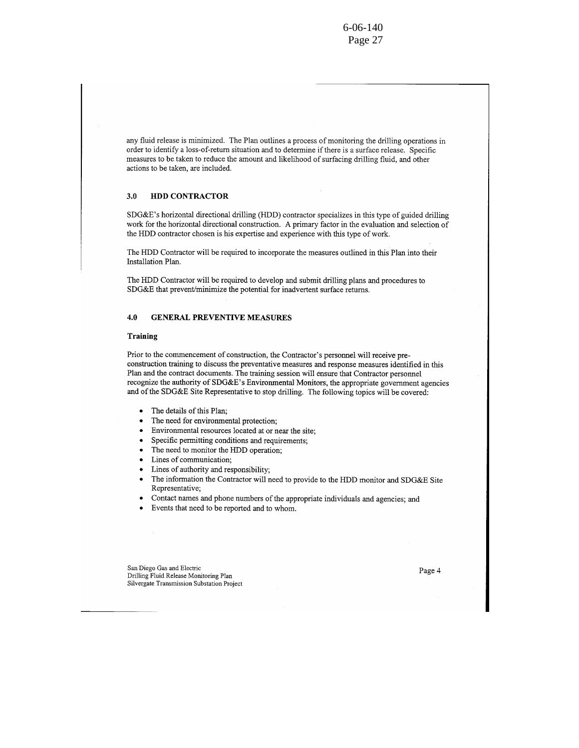any fluid release is minimized. The Plan outlines a process of monitoring the drilling operations in order to identify a loss-of-return situation and to determine if there is a surface release. Specific measures to be taken to reduce the amount and likelihood of surfacing drilling fluid, and other actions to be taken, are included.

#### HDD CONTRACTOR  $3.0$

SDG&E's horizontal directional drilling (HDD) contractor specializes in this type of guided drilling work for the horizontal directional construction. A primary factor in the evaluation and selection of the HDD contractor chosen is his expertise and experience with this type of work.

The HDD Contractor will be required to incorporate the measures outlined in this Plan into their Installation Plan.

The HDD Contractor will be required to develop and submit drilling plans and procedures to SDG&E that prevent/minimize the potential for inadvertent surface returns.

#### 4.0 **GENERAL PREVENTIVE MEASURES**

### Training

Prior to the commencement of construction, the Contractor's personnel will receive preconstruction training to discuss the preventative measures and response measures identified in this Plan and the contract documents. The training session will ensure that Contractor personnel recognize the authority of SDG&E's Environmental Monitors, the appropriate government agencies and of the SDG&E Site Representative to stop drilling. The following topics will be covered:

- The details of this Plan;  $\bullet$
- The need for environmental protection;
- Environmental resources located at or near the site;
- Specific permitting conditions and requirements;
- The need to monitor the HDD operation;
- Lines of communication:
- Lines of authority and responsibility;
- The information the Contractor will need to provide to the HDD monitor and SDG&E Site Representative;
- Contact names and phone numbers of the appropriate individuals and agencies; and
- Events that need to be reported and to whom.  $\bullet$

San Diego Gas and Electric Drilling Fluid Release Monitoring Plan Silvergate Transmission Substation Project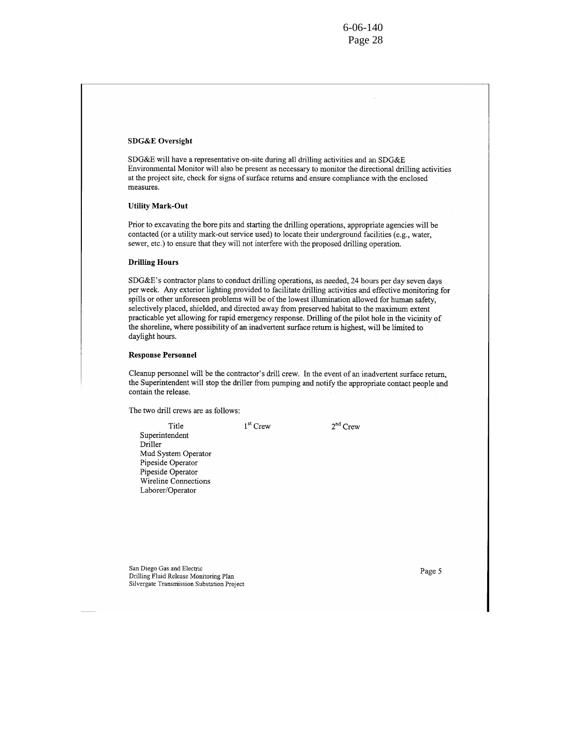## **SDG&E** Oversight

SDG&E will have a representative on-site during all drilling activities and an SDG&E Environmental Monitor will also be present as necessary to monitor the directional drilling activities at the project site, check for signs of surface returns and ensure compliance with the enclosed measures.

## **Utility Mark-Out**

Prior to excavating the bore pits and starting the drilling operations, appropriate agencies will be contacted (or a utility mark-out service used) to locate their underground facilities (e.g., water, sewer, etc.) to ensure that they will not interfere with the proposed drilling operation.

### **Drilling Hours**

SDG&E's contractor plans to conduct drilling operations, as needed, 24 hours per day seven days per week. Any exterior lighting provided to facilitate drilling activities and effective monitoring for spills or other unforeseen problems will be of the lowest illumination allowed for human safety, selectively placed, shielded, and directed away from preserved habitat to the maximum extent practicable yet allowing for rapid emergency response. Drilling of the pilot hole in the vicinity of the shoreline, where possibility of an inadvertent surface return is highest, will be limited to daylight hours.

### **Response Personnel**

Cleanup personnel will be the contractor's drill crew. In the event of an inadvertent surface return, the Superintendent will stop the driller from pumping and notify the appropriate contact people and contain the release.

The two drill crews are as follows:

| Title                | $1^{\rm st}$ Crew | $2na$ Crew |
|----------------------|-------------------|------------|
| Superintendent       |                   |            |
| Driller              |                   |            |
| Mud System Operator  |                   |            |
| Pipeside Operator    |                   |            |
| Pipeside Operator    |                   |            |
| Wireline Connections |                   |            |
| Laborer/Operator     |                   |            |
|                      |                   |            |

San Diego Gas and Electric Drilling Fluid Release Monitoring Plan Silvergate Transmission Substation Project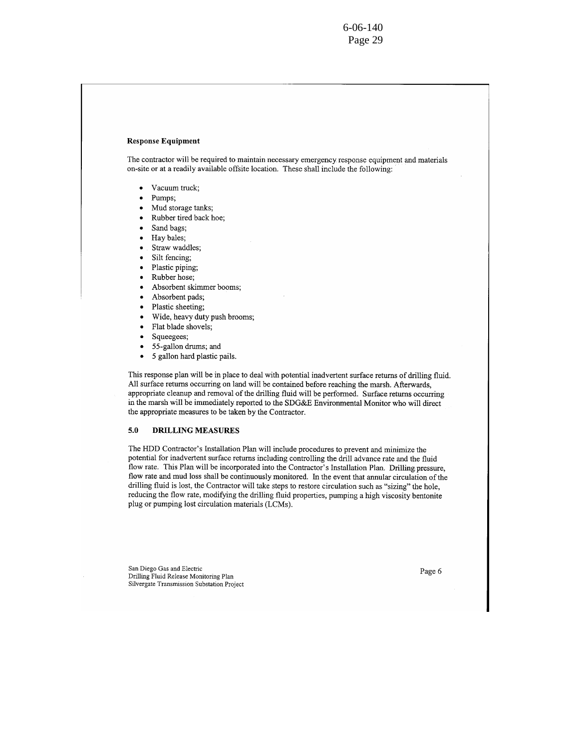## **Response Equipment**

The contractor will be required to maintain necessary emergency response equipment and materials on-site or at a readily available offsite location. These shall include the following:

- Vacuum truck;  $\bullet$
- Pumps;
- Mud storage tanks;
- Rubber tired back hoe;
- Sand bags;
- Hay bales;
- Straw waddles;
- Silt fencing:
- Plastic piping;
- Rubber hose;
- Absorbent skimmer booms;
- Absorbent pads;
- Plastic sheeting;
- Wide, heavy duty push brooms;
- Flat blade shovels;
- Squeegees;
- 55-gallon drums; and
- $\bullet$ 5 gallon hard plastic pails.

This response plan will be in place to deal with potential inadvertent surface returns of drilling fluid. All surface returns occurring on land will be contained before reaching the marsh. Afterwards, appropriate cleanup and removal of the drilling fluid will be performed. Surface returns occurring in the marsh will be immediately reported to the SDG&E Environmental Monitor who will direct the appropriate measures to be taken by the Contractor.

#### $5.0$ **DRILLING MEASURES**

The HDD Contractor's Installation Plan will include procedures to prevent and minimize the potential for inadvertent surface returns including controlling the drill advance rate and the fluid flow rate. This Plan will be incorporated into the Contractor's Installation Plan. Drilling pressure, flow rate and mud loss shall be continuously monitored. In the event that annular circulation of the drilling fluid is lost, the Contractor will take steps to restore circulation such as "sizing" the hole, reducing the flow rate, modifying the drilling fluid properties, pumping a high viscosity bentonite plug or pumping lost circulation materials (LCMs).

San Diego Gas and Electric Drilling Fluid Release Monitoring Plan Silvergate Transmission Substation Project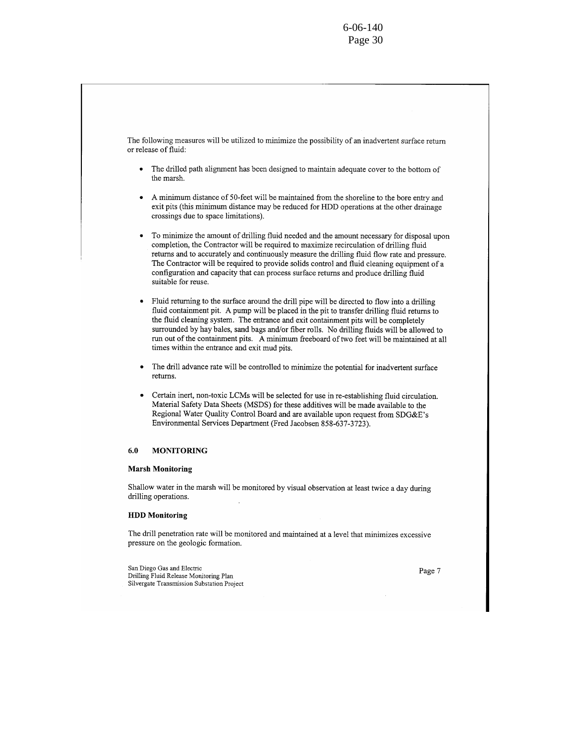The following measures will be utilized to minimize the possibility of an inadvertent surface return or release of fluid:

- The drilled path alignment has been designed to maintain adequate cover to the bottom of the marsh.
- A minimum distance of 50-feet will be maintained from the shoreline to the bore entry and exit pits (this minimum distance may be reduced for HDD operations at the other drainage crossings due to space limitations).
- To minimize the amount of drilling fluid needed and the amount necessary for disposal upon completion, the Contractor will be required to maximize recirculation of drilling fluid returns and to accurately and continuously measure the drilling fluid flow rate and pressure. The Contractor will be required to provide solids control and fluid cleaning equipment of a configuration and capacity that can process surface returns and produce drilling fluid suitable for reuse.
- Fluid returning to the surface around the drill pipe will be directed to flow into a drilling  $\bullet$ fluid containment pit. A pump will be placed in the pit to transfer drilling fluid returns to the fluid cleaning system. The entrance and exit containment pits will be completely surrounded by hay bales, sand bags and/or fiber rolls. No drilling fluids will be allowed to run out of the containment pits. A minimum freeboard of two feet will be maintained at all times within the entrance and exit mud pits.
- The drill advance rate will be controlled to minimize the potential for inadvertent surface returns.
- Certain inert, non-toxic LCMs will be selected for use in re-establishing fluid circulation. Material Safety Data Sheets (MSDS) for these additives will be made available to the Regional Water Quality Control Board and are available upon request from SDG&E's Environmental Services Department (Fred Jacobsen 858-637-3723).

#### **MONITORING** 6.0

## **Marsh Monitoring**

Shallow water in the marsh will be monitored by visual observation at least twice a day during drilling operations.

#### **HDD** Monitoring

The drill penetration rate will be monitored and maintained at a level that minimizes excessive pressure on the geologic formation.

San Diego Gas and Electric Drilling Fluid Release Monitoring Plan Silvergate Transmission Substation Project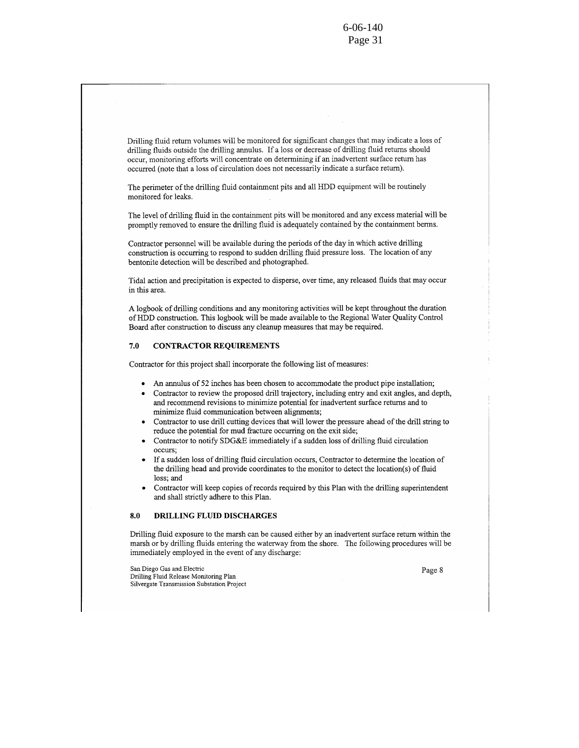Drilling fluid return volumes will be monitored for significant changes that may indicate a loss of drilling fluids outside the drilling annulus. If a loss or decrease of drilling fluid returns should occur, monitoring efforts will concentrate on determining if an inadvertent surface return has occurred (note that a loss of circulation does not necessarily indicate a surface return).

The perimeter of the drilling fluid containment pits and all HDD equipment will be routinely monitored for leaks.

The level of drilling fluid in the containment pits will be monitored and any excess material will be promptly removed to ensure the drilling fluid is adequately contained by the containment berms.

Contractor personnel will be available during the periods of the day in which active drilling construction is occurring to respond to sudden drilling fluid pressure loss. The location of any bentonite detection will be described and photographed.

Tidal action and precipitation is expected to disperse, over time, any released fluids that may occur in this area.

A logbook of drilling conditions and any monitoring activities will be kept throughout the duration of HDD construction. This logbook will be made available to the Regional Water Quality Control Board after construction to discuss any cleanup measures that may be required.

#### **CONTRACTOR REQUIREMENTS** 7.0

Contractor for this project shall incorporate the following list of measures:

- An annulus of 52 inches has been chosen to accommodate the product pipe installation;
- Contractor to review the proposed drill trajectory, including entry and exit angles, and depth, and recommend revisions to minimize potential for inadvertent surface returns and to minimize fluid communication between alignments;
- Contractor to use drill cutting devices that will lower the pressure ahead of the drill string to reduce the potential for mud fracture occurring on the exit side;
- Contractor to notify SDG&E immediately if a sudden loss of drilling fluid circulation occurs:
- If a sudden loss of drilling fluid circulation occurs, Contractor to determine the location of the drilling head and provide coordinates to the monitor to detect the location(s) of fluid loss; and
- Contractor will keep copies of records required by this Plan with the drilling superintendent and shall strictly adhere to this Plan.

#### DRILLING FLUID DISCHARGES  $8.0$

Drilling fluid exposure to the marsh can be caused either by an inadvertent surface return within the marsh or by drilling fluids entering the waterway from the shore. The following procedures will be immediately employed in the event of any discharge:

San Diego Gas and Electric Drilling Fluid Release Monitoring Plan Silvergate Transmission Substation Project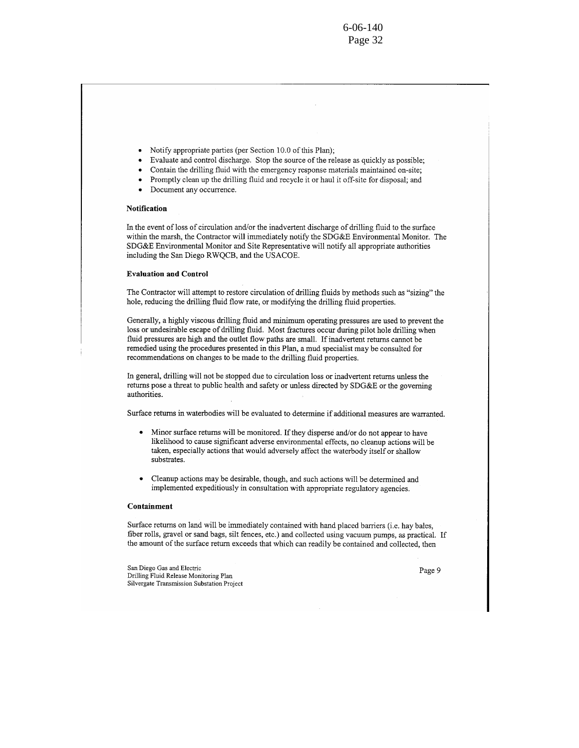$6 - 06 - 140$ Page 32

- Notify appropriate parties (per Section 10.0 of this Plan):
- Evaluate and control discharge. Stop the source of the release as quickly as possible;
- Contain the drilling fluid with the emergency response materials maintained on-site;
- Promptly clean up the drilling fluid and recycle it or haul it off-site for disposal; and
	- Document any occurrence.

## **Notification**

In the event of loss of circulation and/or the inadvertent discharge of drilling fluid to the surface within the marsh, the Contractor will immediately notify the SDG&E Environmental Monitor. The SDG&E Environmental Monitor and Site Representative will notify all appropriate authorities including the San Diego RWQCB, and the USACOE.

#### **Evaluation and Control**

The Contractor will attempt to restore circulation of drilling fluids by methods such as "sizing" the hole, reducing the drilling fluid flow rate, or modifying the drilling fluid properties.

Generally, a highly viscous drilling fluid and minimum operating pressures are used to prevent the loss or undesirable escape of drilling fluid. Most fractures occur during pilot hole drilling when fluid pressures are high and the outlet flow paths are small. If inadvertent returns cannot be remedied using the procedures presented in this Plan, a mud specialist may be consulted for recommendations on changes to be made to the drilling fluid properties.

In general, drilling will not be stopped due to circulation loss or inadvertent returns unless the returns pose a threat to public health and safety or unless directed by SDG&E or the governing authorities.

Surface returns in waterbodies will be evaluated to determine if additional measures are warranted.

- Minor surface returns will be monitored. If they disperse and/or do not appear to have  $\bullet$ likelihood to cause significant adverse environmental effects, no cleanup actions will be taken, especially actions that would adversely affect the waterbody itself or shallow substrates.
- Cleanup actions may be desirable, though, and such actions will be determined and implemented expeditiously in consultation with appropriate regulatory agencies.

#### Containment

Surface returns on land will be immediately contained with hand placed barriers (i.e. hay bales, fiber rolls, gravel or sand bags, silt fences, etc.) and collected using vacuum pumps, as practical. If the amount of the surface return exceeds that which can readily be contained and collected, then

San Diego Gas and Electric Drilling Fluid Release Monitoring Plan Silvergate Transmission Substation Project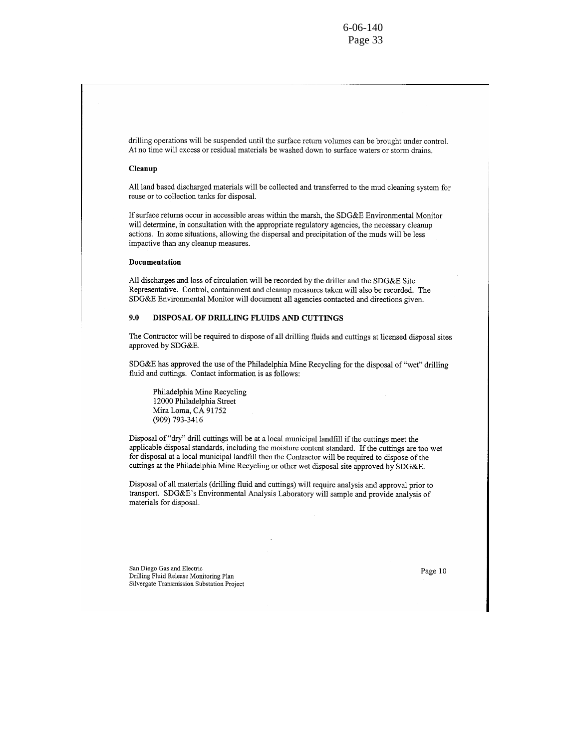drilling operations will be suspended until the surface return volumes can be brought under control. At no time will excess or residual materials be washed down to surface waters or storm drains.

#### Cleanup

All land based discharged materials will be collected and transferred to the mud cleaning system for reuse or to collection tanks for disposal.

If surface returns occur in accessible areas within the marsh, the SDG&E Environmental Monitor will determine, in consultation with the appropriate regulatory agencies, the necessary cleanup actions. In some situations, allowing the dispersal and precipitation of the muds will be less impactive than any cleanup measures.

### Documentation

All discharges and loss of circulation will be recorded by the driller and the SDG&E Site Representative. Control, containment and cleanup measures taken will also be recorded. The SDG&E Environmental Monitor will document all agencies contacted and directions given.

#### 9.0 DISPOSAL OF DRILLING FLUIDS AND CUTTINGS

The Contractor will be required to dispose of all drilling fluids and cuttings at licensed disposal sites approved by SDG&E.

SDG&E has approved the use of the Philadelphia Mine Recycling for the disposal of "wet" drilling fluid and cuttings. Contact information is as follows:

Philadelphia Mine Recycling 12000 Philadelphia Street Mira Loma, CA 91752 (909) 793-3416

Disposal of "dry" drill cuttings will be at a local municipal landfill if the cuttings meet the applicable disposal standards, including the moisture content standard. If the cuttings are too wet for disposal at a local municipal landfill then the Contractor will be required to dispose of the cuttings at the Philadelphia Mine Recycling or other wet disposal site approved by SDG&E.

Disposal of all materials (drilling fluid and cuttings) will require analysis and approval prior to transport. SDG&E's Environmental Analysis Laboratory will sample and provide analysis of materials for disposal.

San Diego Gas and Electric Drilling Fluid Release Monitoring Plan Silvergate Transmission Substation Project